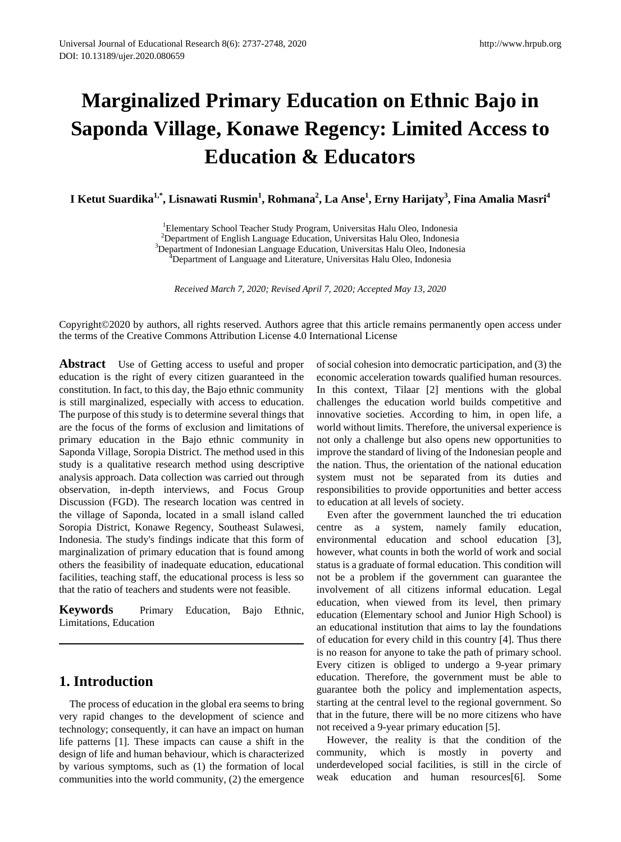# **Marginalized Primary Education on Ethnic Bajo in Saponda Village, Konawe Regency: Limited Access to Education & Educators**

**I Ketut Suardika1,\*, Lisnawati Rusmin<sup>1</sup> , Rohmana2 , La Anse1 , Erny Harijaty<sup>3</sup> , Fina Amalia Masri<sup>4</sup>**

<sup>1</sup> Elementary School Teacher Study Program, Universitas Halu Oleo, Indonesia<br><sup>2</sup> Department of English Language Education, Universitas Halu Oleo, Indonesia  $^{2}$ Department of English Language Education, Universitas Halu Oleo, Indonesia

<sup>3</sup>Department of Indonesian Language Education, Universitas Halu Oleo, Indonesia

<sup>4</sup>Department of Language and Literature, Universitas Halu Oleo, Indonesia

*Received March 7, 2020; Revised April 7, 2020; Accepted May 13, 2020*

Copyright©2020 by authors, all rights reserved. Authors agree that this article remains permanently open access under the terms of the Creative Commons Attribution License 4.0 International License

**Abstract** Use of Getting access to useful and proper education is the right of every citizen guaranteed in the constitution. In fact, to this day, the Bajo ethnic community is still marginalized, especially with access to education. The purpose of this study is to determine several things that are the focus of the forms of exclusion and limitations of primary education in the Bajo ethnic community in Saponda Village, Soropia District. The method used in this study is a qualitative research method using descriptive analysis approach. Data collection was carried out through observation, in-depth interviews, and Focus Group Discussion (FGD). The research location was centred in the village of Saponda, located in a small island called Soropia District, Konawe Regency, Southeast Sulawesi, Indonesia. The study's findings indicate that this form of marginalization of primary education that is found among others the feasibility of inadequate education, educational facilities, teaching staff, the educational process is less so that the ratio of teachers and students were not feasible.

**Keywords** Primary Education, Bajo Ethnic, Limitations, Education

# **1. Introduction**

The process of education in the global era seems to bring very rapid changes to the development of science and technology; consequently, it can have an impact on human life patterns [1]. These impacts can cause a shift in the design of life and human behaviour, which is characterized by various symptoms, such as (1) the formation of local communities into the world community, (2) the emergence of social cohesion into democratic participation, and (3) the economic acceleration towards qualified human resources. In this context, Tilaar [2] mentions with the global challenges the education world builds competitive and innovative societies. According to him, in open life, a world without limits. Therefore, the universal experience is not only a challenge but also opens new opportunities to improve the standard of living of the Indonesian people and the nation. Thus, the orientation of the national education system must not be separated from its duties and responsibilities to provide opportunities and better access to education at all levels of society.

Even after the government launched the tri education centre as a system, namely family education, environmental education and school education [3], however, what counts in both the world of work and social status is a graduate of formal education. This condition will not be a problem if the government can guarantee the involvement of all citizens informal education. Legal education, when viewed from its level, then primary education (Elementary school and Junior High School) is an educational institution that aims to lay the foundations of education for every child in this country [4]. Thus there is no reason for anyone to take the path of primary school. Every citizen is obliged to undergo a 9-year primary education. Therefore, the government must be able to guarantee both the policy and implementation aspects, starting at the central level to the regional government. So that in the future, there will be no more citizens who have not received a 9-year primary education [5].

However, the reality is that the condition of the community, which is mostly in poverty and underdeveloped social facilities, is still in the circle of weak education and human resources[6]. Some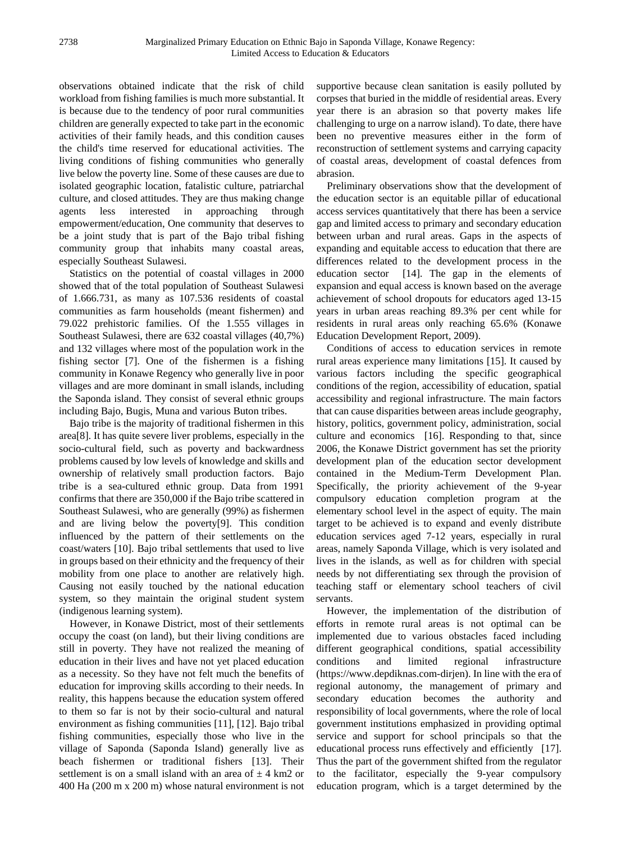observations obtained indicate that the risk of child workload from fishing families is much more substantial. It is because due to the tendency of poor rural communities children are generally expected to take part in the economic activities of their family heads, and this condition causes the child's time reserved for educational activities. The living conditions of fishing communities who generally live below the poverty line. Some of these causes are due to isolated geographic location, fatalistic culture, patriarchal culture, and closed attitudes. They are thus making change agents less interested in approaching through empowerment/education, One community that deserves to be a joint study that is part of the Bajo tribal fishing community group that inhabits many coastal areas, especially Southeast Sulawesi.

Statistics on the potential of coastal villages in 2000 showed that of the total population of Southeast Sulawesi of 1.666.731, as many as 107.536 residents of coastal communities as farm households (meant fishermen) and 79.022 prehistoric families. Of the 1.555 villages in Southeast Sulawesi, there are 632 coastal villages (40,7%) and 132 villages where most of the population work in the fishing sector [7]. One of the fishermen is a fishing community in Konawe Regency who generally live in poor villages and are more dominant in small islands, including the Saponda island. They consist of several ethnic groups including Bajo, Bugis, Muna and various Buton tribes.

Bajo tribe is the majority of traditional fishermen in this area[8]. It has quite severe liver problems, especially in the socio-cultural field, such as poverty and backwardness problems caused by low levels of knowledge and skills and ownership of relatively small production factors. Bajo tribe is a sea-cultured ethnic group. Data from 1991 confirms that there are 350,000 if the Bajo tribe scattered in Southeast Sulawesi, who are generally (99%) as fishermen and are living below the poverty[9]. This condition influenced by the pattern of their settlements on the coast/waters [10]. Bajo tribal settlements that used to live in groups based on their ethnicity and the frequency of their mobility from one place to another are relatively high. Causing not easily touched by the national education system, so they maintain the original student system (indigenous learning system).

However, in Konawe District, most of their settlements occupy the coast (on land), but their living conditions are still in poverty. They have not realized the meaning of education in their lives and have not yet placed education as a necessity. So they have not felt much the benefits of education for improving skills according to their needs. In reality, this happens because the education system offered to them so far is not by their socio-cultural and natural environment as fishing communities [11], [12]. Bajo tribal fishing communities, especially those who live in the village of Saponda (Saponda Island) generally live as beach fishermen or traditional fishers [13]. Their settlement is on a small island with an area of  $\pm$  4 km2 or 400 Ha (200 m x 200 m) whose natural environment is not

supportive because clean sanitation is easily polluted by corpses that buried in the middle of residential areas. Every year there is an abrasion so that poverty makes life challenging to urge on a narrow island). To date, there have been no preventive measures either in the form of reconstruction of settlement systems and carrying capacity of coastal areas, development of coastal defences from abrasion.

Preliminary observations show that the development of the education sector is an equitable pillar of educational access services quantitatively that there has been a service gap and limited access to primary and secondary education between urban and rural areas. Gaps in the aspects of expanding and equitable access to education that there are differences related to the development process in the education sector [14]. The gap in the elements of expansion and equal access is known based on the average achievement of school dropouts for educators aged 13-15 years in urban areas reaching 89.3% per cent while for residents in rural areas only reaching 65.6% (Konawe Education Development Report, 2009).

Conditions of access to education services in remote rural areas experience many limitations [15]. It caused by various factors including the specific geographical conditions of the region, accessibility of education, spatial accessibility and regional infrastructure. The main factors that can cause disparities between areas include geography, history, politics, government policy, administration, social culture and economics [16]. Responding to that, since 2006, the Konawe District government has set the priority development plan of the education sector development contained in the Medium-Term Development Plan. Specifically, the priority achievement of the 9-year compulsory education completion program at the elementary school level in the aspect of equity. The main target to be achieved is to expand and evenly distribute education services aged 7-12 years, especially in rural areas, namely Saponda Village, which is very isolated and lives in the islands, as well as for children with special needs by not differentiating sex through the provision of teaching staff or elementary school teachers of civil servants.

However, the implementation of the distribution of efforts in remote rural areas is not optimal can be implemented due to various obstacles faced including different geographical conditions, spatial accessibility conditions and limited regional infrastructure [\(https://www.depdiknas.com-dirjen\)](https://www.depdiknas.com-dirjen/). In line with the era of regional autonomy, the management of primary and secondary education becomes the authority and responsibility of local governments, where the role of local government institutions emphasized in providing optimal service and support for school principals so that the educational process runs effectively and efficiently [17]. Thus the part of the government shifted from the regulator to the facilitator, especially the 9-year compulsory education program, which is a target determined by the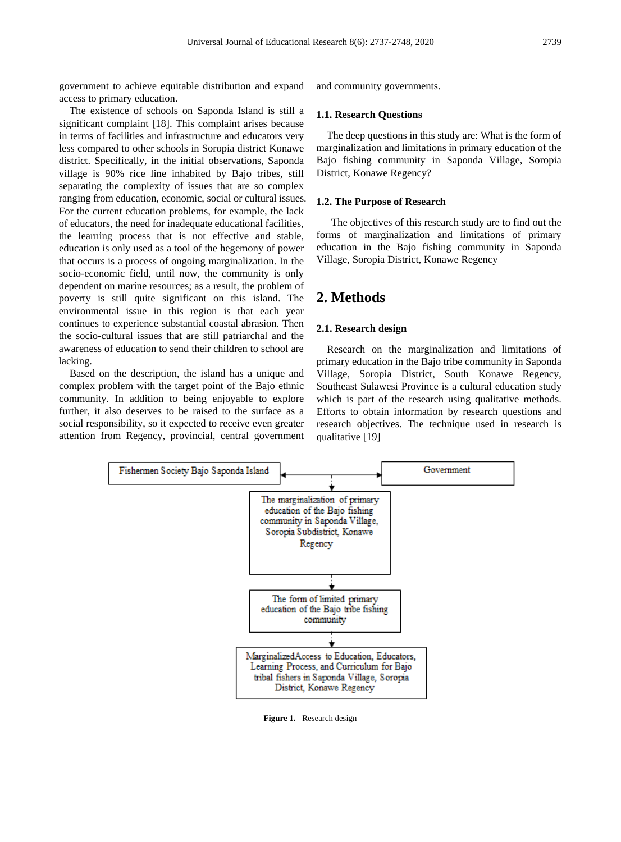government to achieve equitable distribution and expand access to primary education.

The existence of schools on Saponda Island is still a significant complaint [18]. This complaint arises because in terms of facilities and infrastructure and educators very less compared to other schools in Soropia district Konawe district. Specifically, in the initial observations, Saponda village is 90% rice line inhabited by Bajo tribes, still separating the complexity of issues that are so complex ranging from education, economic, social or cultural issues. For the current education problems, for example, the lack of educators, the need for inadequate educational facilities, the learning process that is not effective and stable, education is only used as a tool of the hegemony of power that occurs is a process of ongoing marginalization. In the socio-economic field, until now, the community is only dependent on marine resources; as a result, the problem of poverty is still quite significant on this island. The environmental issue in this region is that each year continues to experience substantial coastal abrasion. Then the socio-cultural issues that are still patriarchal and the awareness of education to send their children to school are lacking.

Based on the description, the island has a unique and complex problem with the target point of the Bajo ethnic community. In addition to being enjoyable to explore further, it also deserves to be raised to the surface as a social responsibility, so it expected to receive even greater attention from Regency, provincial, central government and community governments.

#### **1.1. Research Questions**

The deep questions in this study are: What is the form of marginalization and limitations in primary education of the Bajo fishing community in Saponda Village, Soropia District, Konawe Regency?

#### **1.2. The Purpose of Research**

The objectives of this research study are to find out the forms of marginalization and limitations of primary education in the Bajo fishing community in Saponda Village, Soropia District, Konawe Regency

## **2. Methods**

### **2.1. Research design**

Research on the marginalization and limitations of primary education in the Bajo tribe community in Saponda Village, Soropia District, South Konawe Regency, Southeast Sulawesi Province is a cultural education study which is part of the research using qualitative methods. Efforts to obtain information by research questions and research objectives. The technique used in research is qualitative [19]



**Figure 1.** Research design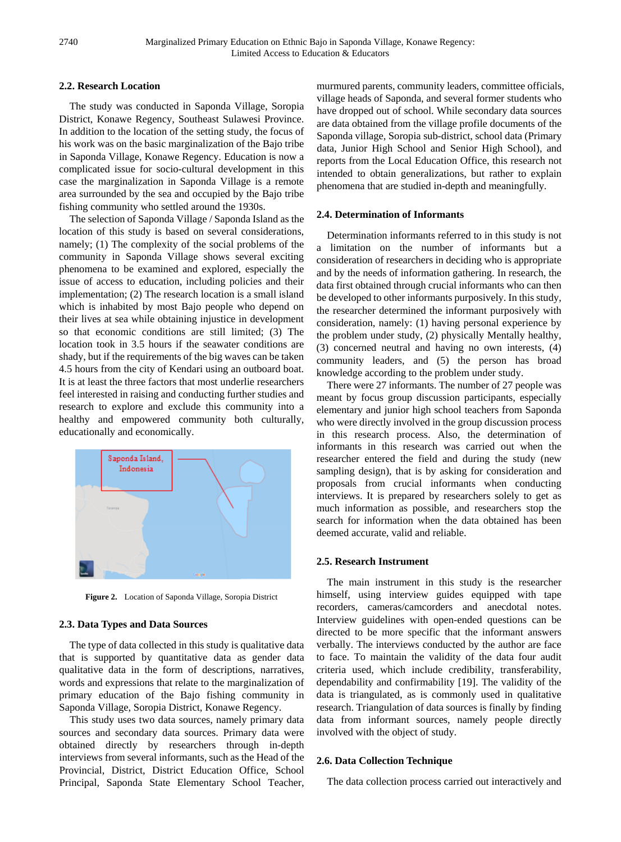## **2.2. Research Location**

The study was conducted in Saponda Village, Soropia District, Konawe Regency, Southeast Sulawesi Province. In addition to the location of the setting study, the focus of his work was on the basic marginalization of the Bajo tribe in Saponda Village, Konawe Regency. Education is now a complicated issue for socio-cultural development in this case the marginalization in Saponda Village is a remote area surrounded by the sea and occupied by the Bajo tribe fishing community who settled around the 1930s.

The selection of Saponda Village / Saponda Island as the location of this study is based on several considerations, namely; (1) The complexity of the social problems of the community in Saponda Village shows several exciting phenomena to be examined and explored, especially the issue of access to education, including policies and their implementation; (2) The research location is a small island which is inhabited by most Bajo people who depend on their lives at sea while obtaining injustice in development so that economic conditions are still limited; (3) The location took in 3.5 hours if the seawater conditions are shady, but if the requirements of the big waves can be taken 4.5 hours from the city of Kendari using an outboard boat. It is at least the three factors that most underlie researchers feel interested in raising and conducting further studies and research to explore and exclude this community into a healthy and empowered community both culturally, educationally and economically.



**Figure 2.** Location of Saponda Village, Soropia District

#### **2.3. Data Types and Data Sources**

The type of data collected in this study is qualitative data that is supported by quantitative data as gender data qualitative data in the form of descriptions, narratives, words and expressions that relate to the marginalization of primary education of the Bajo fishing community in Saponda Village, Soropia District, Konawe Regency.

This study uses two data sources, namely primary data sources and secondary data sources. Primary data were obtained directly by researchers through in-depth interviews from several informants, such as the Head of the Provincial, District, District Education Office, School Principal, Saponda State Elementary School Teacher,

murmured parents, community leaders, committee officials, village heads of Saponda, and several former students who have dropped out of school. While secondary data sources are data obtained from the village profile documents of the Saponda village, Soropia sub-district, school data (Primary data, Junior High School and Senior High School), and reports from the Local Education Office, this research not intended to obtain generalizations, but rather to explain phenomena that are studied in-depth and meaningfully.

#### **2.4. Determination of Informants**

Determination informants referred to in this study is not a limitation on the number of informants but a consideration of researchers in deciding who is appropriate and by the needs of information gathering. In research, the data first obtained through crucial informants who can then be developed to other informants purposively. In this study, the researcher determined the informant purposively with consideration, namely: (1) having personal experience by the problem under study, (2) physically Mentally healthy, (3) concerned neutral and having no own interests, (4) community leaders, and (5) the person has broad knowledge according to the problem under study.

There were 27 informants. The number of 27 people was meant by focus group discussion participants, especially elementary and junior high school teachers from Saponda who were directly involved in the group discussion process in this research process. Also, the determination of informants in this research was carried out when the researcher entered the field and during the study (new sampling design), that is by asking for consideration and proposals from crucial informants when conducting interviews. It is prepared by researchers solely to get as much information as possible, and researchers stop the search for information when the data obtained has been deemed accurate, valid and reliable.

#### **2.5. Research Instrument**

The main instrument in this study is the researcher himself, using interview guides equipped with tape recorders, cameras/camcorders and anecdotal notes. Interview guidelines with open-ended questions can be directed to be more specific that the informant answers verbally. The interviews conducted by the author are face to face. To maintain the validity of the data four audit criteria used, which include credibility, transferability, dependability and confirmability [19]. The validity of the data is triangulated, as is commonly used in qualitative research. Triangulation of data sources is finally by finding data from informant sources, namely people directly involved with the object of study.

#### **2.6. Data Collection Technique**

The data collection process carried out interactively and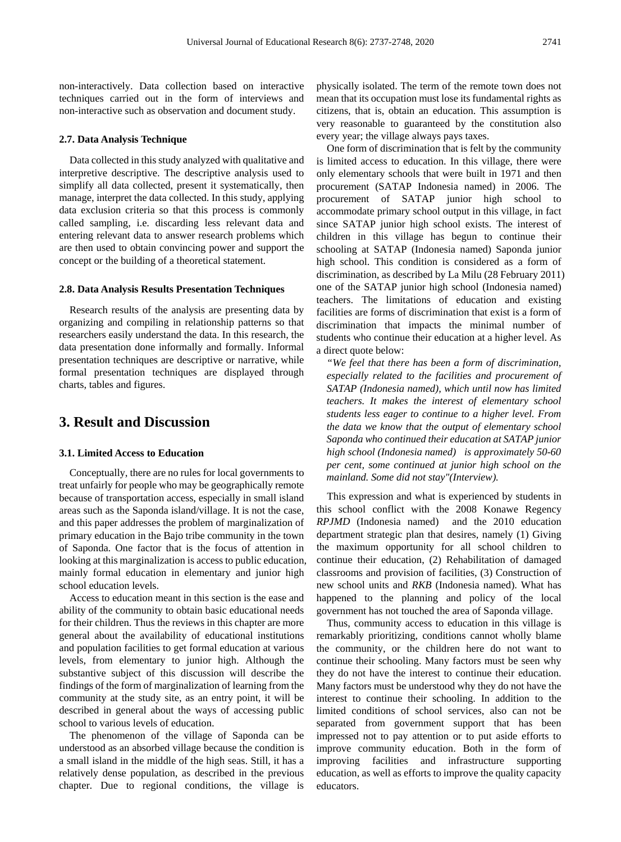non-interactively. Data collection based on interactive techniques carried out in the form of interviews and non-interactive such as observation and document study.

#### **2.7. Data Analysis Technique**

Data collected in this study analyzed with qualitative and interpretive descriptive. The descriptive analysis used to simplify all data collected, present it systematically, then manage, interpret the data collected. In this study, applying data exclusion criteria so that this process is commonly called sampling, i.e. discarding less relevant data and entering relevant data to answer research problems which are then used to obtain convincing power and support the concept or the building of a theoretical statement.

#### **2.8. Data Analysis Results Presentation Techniques**

Research results of the analysis are presenting data by organizing and compiling in relationship patterns so that researchers easily understand the data. In this research, the data presentation done informally and formally. Informal presentation techniques are descriptive or narrative, while formal presentation techniques are displayed through charts, tables and figures.

# **3. Result and Discussion**

## **3.1. Limited Access to Education**

Conceptually, there are no rules for local governments to treat unfairly for people who may be geographically remote because of transportation access, especially in small island areas such as the Saponda island/village. It is not the case, and this paper addresses the problem of marginalization of primary education in the Bajo tribe community in the town of Saponda. One factor that is the focus of attention in looking at this marginalization is access to public education, mainly formal education in elementary and junior high school education levels.

Access to education meant in this section is the ease and ability of the community to obtain basic educational needs for their children. Thus the reviews in this chapter are more general about the availability of educational institutions and population facilities to get formal education at various levels, from elementary to junior high. Although the substantive subject of this discussion will describe the findings of the form of marginalization of learning from the community at the study site, as an entry point, it will be described in general about the ways of accessing public school to various levels of education.

The phenomenon of the village of Saponda can be understood as an absorbed village because the condition is a small island in the middle of the high seas. Still, it has a relatively dense population, as described in the previous chapter. Due to regional conditions, the village is

physically isolated. The term of the remote town does not mean that its occupation must lose its fundamental rights as citizens, that is, obtain an education. This assumption is very reasonable to guaranteed by the constitution also every year; the village always pays taxes.

One form of discrimination that is felt by the community is limited access to education. In this village, there were only elementary schools that were built in 1971 and then procurement (SATAP Indonesia named) in 2006. The procurement of SATAP junior high school to accommodate primary school output in this village, in fact since SATAP junior high school exists. The interest of children in this village has begun to continue their schooling at SATAP (Indonesia named) Saponda junior high school. This condition is considered as a form of discrimination, as described by La Milu (28 February 2011) one of the SATAP junior high school (Indonesia named) teachers. The limitations of education and existing facilities are forms of discrimination that exist is a form of discrimination that impacts the minimal number of students who continue their education at a higher level. As a direct quote below:

*"We feel that there has been a form of discrimination, especially related to the facilities and procurement of SATAP (Indonesia named), which until now has limited teachers. It makes the interest of elementary school students less eager to continue to a higher level. From the data we know that the output of elementary school Saponda who continued their education at SATAP junior high school (Indonesia named) is approximately 50-60 per cent, some continued at junior high school on the mainland. Some did not stay"(Interview).*

This expression and what is experienced by students in this school conflict with the 2008 Konawe Regency *RPJMD* (Indonesia named) and the 2010 education department strategic plan that desires, namely (1) Giving the maximum opportunity for all school children to continue their education, (2) Rehabilitation of damaged classrooms and provision of facilities, (3) Construction of new school units and *RKB* (Indonesia named). What has happened to the planning and policy of the local government has not touched the area of Saponda village.

Thus, community access to education in this village is remarkably prioritizing, conditions cannot wholly blame the community, or the children here do not want to continue their schooling. Many factors must be seen why they do not have the interest to continue their education. Many factors must be understood why they do not have the interest to continue their schooling. In addition to the limited conditions of school services, also can not be separated from government support that has been impressed not to pay attention or to put aside efforts to improve community education. Both in the form of improving facilities and infrastructure supporting education, as well as efforts to improve the quality capacity educators.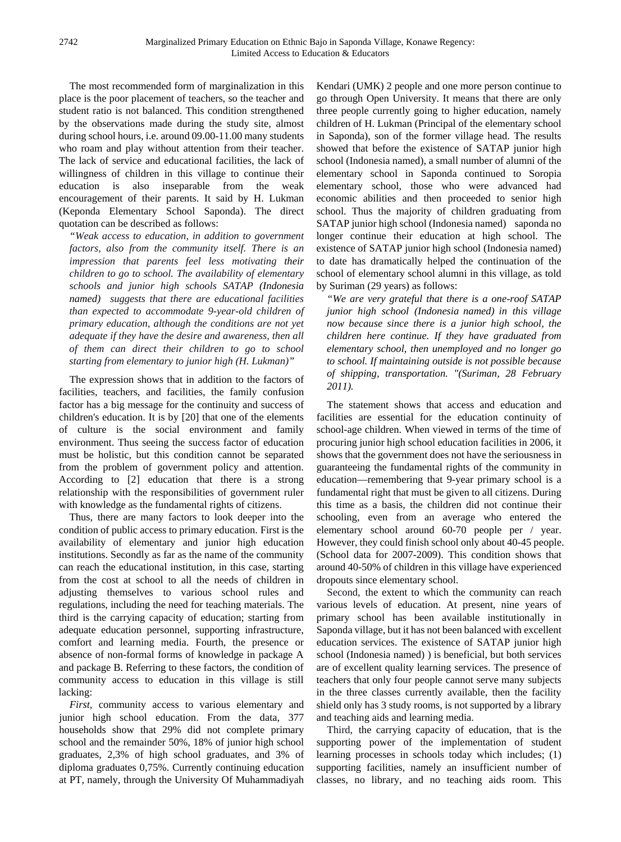The most recommended form of marginalization in this place is the poor placement of teachers, so the teacher and student ratio is not balanced. This condition strengthened by the observations made during the study site, almost during school hours, i.e. around 09.00-11.00 many students who roam and play without attention from their teacher. The lack of service and educational facilities, the lack of willingness of children in this village to continue their education is also inseparable from the weak encouragement of their parents. It said by H. Lukman (Keponda Elementary School Saponda). The direct quotation can be described as follows:

*"Weak access to education, in addition to government factors, also from the community itself. There is an impression that parents feel less motivating their children to go to school. The availability of elementary schools and junior high schools SATAP (Indonesia named) suggests that there are educational facilities than expected to accommodate 9-year-old children of primary education, although the conditions are not yet adequate if they have the desire and awareness, then all of them can direct their children to go to school starting from elementary to junior high (H. Lukman)"*

The expression shows that in addition to the factors of facilities, teachers, and facilities, the family confusion factor has a big message for the continuity and success of children's education. It is by [20] that one of the elements of culture is the social environment and family environment. Thus seeing the success factor of education must be holistic, but this condition cannot be separated from the problem of government policy and attention. According to [2] education that there is a strong relationship with the responsibilities of government ruler with knowledge as the fundamental rights of citizens.

Thus, there are many factors to look deeper into the condition of public access to primary education. First is the availability of elementary and junior high education institutions. Secondly as far as the name of the community can reach the educational institution, in this case, starting from the cost at school to all the needs of children in adjusting themselves to various school rules and regulations, including the need for teaching materials. The third is the carrying capacity of education; starting from adequate education personnel, supporting infrastructure, comfort and learning media. Fourth, the presence or absence of non-formal forms of knowledge in package A and package B. Referring to these factors, the condition of community access to education in this village is still lacking:

*First*, community access to various elementary and junior high school education. From the data, 377 households show that 29% did not complete primary school and the remainder 50%, 18% of junior high school graduates, 2,3% of high school graduates, and 3% of diploma graduates 0,75%. Currently continuing education at PT, namely, through the University Of Muhammadiyah

Kendari (UMK) 2 people and one more person continue to go through Open University. It means that there are only three people currently going to higher education, namely children of H. Lukman (Principal of the elementary school in Saponda), son of the former village head. The results showed that before the existence of SATAP junior high school (Indonesia named), a small number of alumni of the elementary school in Saponda continued to Soropia elementary school, those who were advanced had economic abilities and then proceeded to senior high school. Thus the majority of children graduating from SATAP junior high school (Indonesia named) saponda no longer continue their education at high school. The existence of SATAP junior high school (Indonesia named) to date has dramatically helped the continuation of the school of elementary school alumni in this village, as told by Suriman (29 years) as follows:

*"We are very grateful that there is a one-roof SATAP junior high school (Indonesia named) in this village now because since there is a junior high school, the children here continue. If they have graduated from elementary school, then unemployed and no longer go to school. If maintaining outside is not possible because of shipping, transportation. "(Suriman, 28 February 2011).*

The statement shows that access and education and facilities are essential for the education continuity of school-age children. When viewed in terms of the time of procuring junior high school education facilities in 2006, it shows that the government does not have the seriousness in guaranteeing the fundamental rights of the community in education—remembering that 9-year primary school is a fundamental right that must be given to all citizens. During this time as a basis, the children did not continue their schooling, even from an average who entered the elementary school around 60-70 people per / year. However, they could finish school only about 40-45 people. (School data for 2007-2009). This condition shows that around 40-50% of children in this village have experienced dropouts since elementary school.

Second, the extent to which the community can reach various levels of education. At present, nine years of primary school has been available institutionally in Saponda village, but it has not been balanced with excellent education services. The existence of SATAP junior high school (Indonesia named) ) is beneficial, but both services are of excellent quality learning services. The presence of teachers that only four people cannot serve many subjects in the three classes currently available, then the facility shield only has 3 study rooms, is not supported by a library and teaching aids and learning media.

Third, the carrying capacity of education, that is the supporting power of the implementation of student learning processes in schools today which includes; (1) supporting facilities, namely an insufficient number of classes, no library, and no teaching aids room. This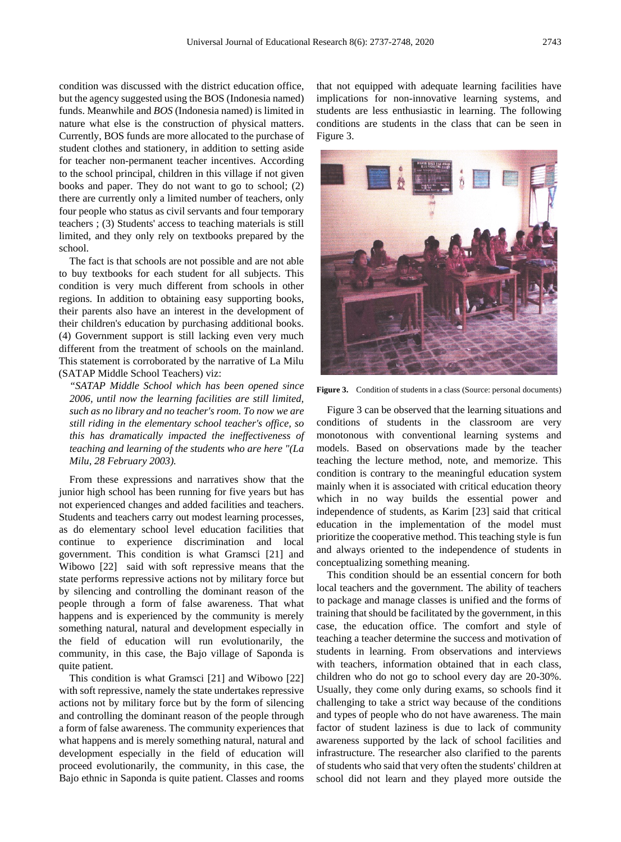condition was discussed with the district education office, but the agency suggested using the BOS (Indonesia named) funds. Meanwhile and *BOS* (Indonesia named) is limited in nature what else is the construction of physical matters. Currently, BOS funds are more allocated to the purchase of student clothes and stationery, in addition to setting aside for teacher non-permanent teacher incentives. According to the school principal, children in this village if not given books and paper. They do not want to go to school; (2) there are currently only a limited number of teachers, only four people who status as civil servants and four temporary teachers ; (3) Students' access to teaching materials is still limited, and they only rely on textbooks prepared by the school.

The fact is that schools are not possible and are not able to buy textbooks for each student for all subjects. This condition is very much different from schools in other regions. In addition to obtaining easy supporting books, their parents also have an interest in the development of their children's education by purchasing additional books. (4) Government support is still lacking even very much different from the treatment of schools on the mainland. This statement is corroborated by the narrative of La Milu (SATAP Middle School Teachers) viz:

*"SATAP Middle School which has been opened since 2006, until now the learning facilities are still limited, such as no library and no teacher's room. To now we are still riding in the elementary school teacher's office, so this has dramatically impacted the ineffectiveness of teaching and learning of the students who are here "(La Milu, 28 February 2003).*

From these expressions and narratives show that the junior high school has been running for five years but has not experienced changes and added facilities and teachers. Students and teachers carry out modest learning processes, as do elementary school level education facilities that continue to experience discrimination and local government. This condition is what Gramsci [21] and Wibowo [22] said with soft repressive means that the state performs repressive actions not by military force but by silencing and controlling the dominant reason of the people through a form of false awareness. That what happens and is experienced by the community is merely something natural, natural and development especially in the field of education will run evolutionarily, the community, in this case, the Bajo village of Saponda is quite patient.

This condition is what Gramsci [21] and Wibowo [22] with soft repressive, namely the state undertakes repressive actions not by military force but by the form of silencing and controlling the dominant reason of the people through a form of false awareness. The community experiences that what happens and is merely something natural, natural and development especially in the field of education will proceed evolutionarily, the community, in this case, the Bajo ethnic in Saponda is quite patient. Classes and rooms

that not equipped with adequate learning facilities have implications for non-innovative learning systems, and students are less enthusiastic in learning. The following conditions are students in the class that can be seen in Figure 3.



**Figure 3.** Condition of students in a class (Source: personal documents)

Figure 3 can be observed that the learning situations and conditions of students in the classroom are very monotonous with conventional learning systems and models. Based on observations made by the teacher teaching the lecture method, note, and memorize. This condition is contrary to the meaningful education system mainly when it is associated with critical education theory which in no way builds the essential power and independence of students, as Karim [23] said that critical education in the implementation of the model must prioritize the cooperative method. This teaching style is fun and always oriented to the independence of students in conceptualizing something meaning.

This condition should be an essential concern for both local teachers and the government. The ability of teachers to package and manage classes is unified and the forms of training that should be facilitated by the government, in this case, the education office. The comfort and style of teaching a teacher determine the success and motivation of students in learning. From observations and interviews with teachers, information obtained that in each class, children who do not go to school every day are 20-30%. Usually, they come only during exams, so schools find it challenging to take a strict way because of the conditions and types of people who do not have awareness. The main factor of student laziness is due to lack of community awareness supported by the lack of school facilities and infrastructure. The researcher also clarified to the parents of students who said that very often the students' children at school did not learn and they played more outside the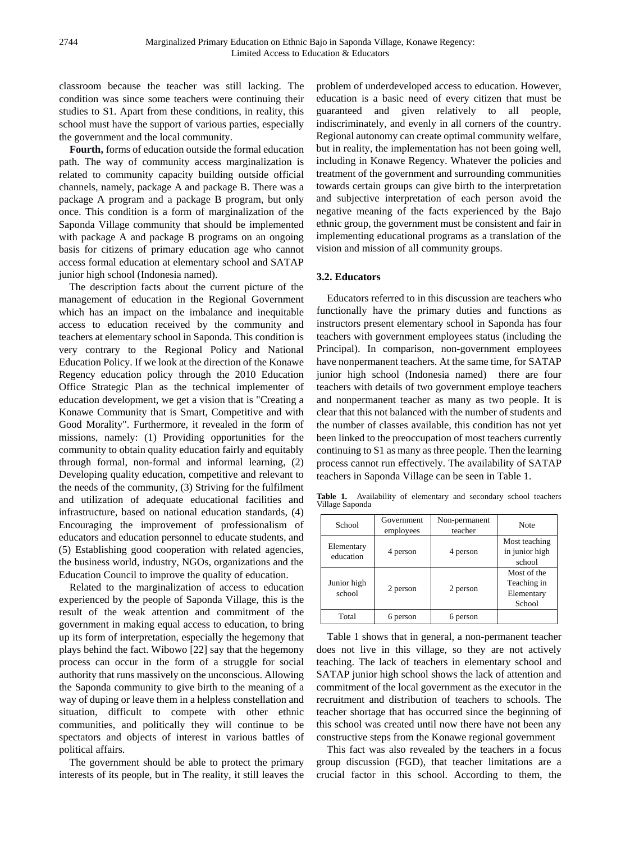classroom because the teacher was still lacking. The condition was since some teachers were continuing their studies to S1. Apart from these conditions, in reality, this school must have the support of various parties, especially the government and the local community.

**Fourth,** forms of education outside the formal education path. The way of community access marginalization is related to community capacity building outside official channels, namely, package A and package B. There was a package A program and a package B program, but only once. This condition is a form of marginalization of the Saponda Village community that should be implemented with package A and package B programs on an ongoing basis for citizens of primary education age who cannot access formal education at elementary school and SATAP junior high school (Indonesia named).

The description facts about the current picture of the management of education in the Regional Government which has an impact on the imbalance and inequitable access to education received by the community and teachers at elementary school in Saponda. This condition is very contrary to the Regional Policy and National Education Policy. If we look at the direction of the Konawe Regency education policy through the 2010 Education Office Strategic Plan as the technical implementer of education development, we get a vision that is "Creating a Konawe Community that is Smart, Competitive and with Good Morality". Furthermore, it revealed in the form of missions, namely: (1) Providing opportunities for the community to obtain quality education fairly and equitably through formal, non-formal and informal learning, (2) Developing quality education, competitive and relevant to the needs of the community, (3) Striving for the fulfilment and utilization of adequate educational facilities and infrastructure, based on national education standards, (4) Encouraging the improvement of professionalism of educators and education personnel to educate students, and (5) Establishing good cooperation with related agencies, the business world, industry, NGOs, organizations and the Education Council to improve the quality of education.

Related to the marginalization of access to education experienced by the people of Saponda Village, this is the result of the weak attention and commitment of the government in making equal access to education, to bring up its form of interpretation, especially the hegemony that plays behind the fact. Wibowo [22] say that the hegemony process can occur in the form of a struggle for social authority that runs massively on the unconscious. Allowing the Saponda community to give birth to the meaning of a way of duping or leave them in a helpless constellation and situation, difficult to compete with other ethnic communities, and politically they will continue to be spectators and objects of interest in various battles of political affairs.

The government should be able to protect the primary interests of its people, but in The reality, it still leaves the

problem of underdeveloped access to education. However, education is a basic need of every citizen that must be guaranteed and given relatively to all people, indiscriminately, and evenly in all corners of the country. Regional autonomy can create optimal community welfare, but in reality, the implementation has not been going well, including in Konawe Regency. Whatever the policies and treatment of the government and surrounding communities towards certain groups can give birth to the interpretation and subjective interpretation of each person avoid the negative meaning of the facts experienced by the Bajo ethnic group, the government must be consistent and fair in implementing educational programs as a translation of the vision and mission of all community groups.

## **3.2. Educators**

Educators referred to in this discussion are teachers who functionally have the primary duties and functions as instructors present elementary school in Saponda has four teachers with government employees status (including the Principal). In comparison, non-government employees have nonpermanent teachers. At the same time, for SATAP junior high school (Indonesia named) there are four teachers with details of two government employe teachers and nonpermanent teacher as many as two people. It is clear that this not balanced with the number of students and the number of classes available, this condition has not yet been linked to the preoccupation of most teachers currently continuing to S1 as many as three people. Then the learning process cannot run effectively. The availability of SATAP teachers in Saponda Village can be seen in Table 1.

**Table 1.** Availability of elementary and secondary school teachers Village Saponda

| School                  | Government<br>employees | Non-permanent<br>teacher | Note                                               |
|-------------------------|-------------------------|--------------------------|----------------------------------------------------|
| Elementary<br>education | 4 person                | 4 person                 | Most teaching<br>in junior high<br>school          |
| Junior high<br>school   | 2 person                | 2 person                 | Most of the<br>Teaching in<br>Elementary<br>School |
| Total                   | 6 person                | 6 person                 |                                                    |

Table 1 shows that in general, a non-permanent teacher does not live in this village, so they are not actively teaching. The lack of teachers in elementary school and SATAP junior high school shows the lack of attention and commitment of the local government as the executor in the recruitment and distribution of teachers to schools. The teacher shortage that has occurred since the beginning of this school was created until now there have not been any constructive steps from the Konawe regional government

This fact was also revealed by the teachers in a focus group discussion (FGD), that teacher limitations are a crucial factor in this school. According to them, the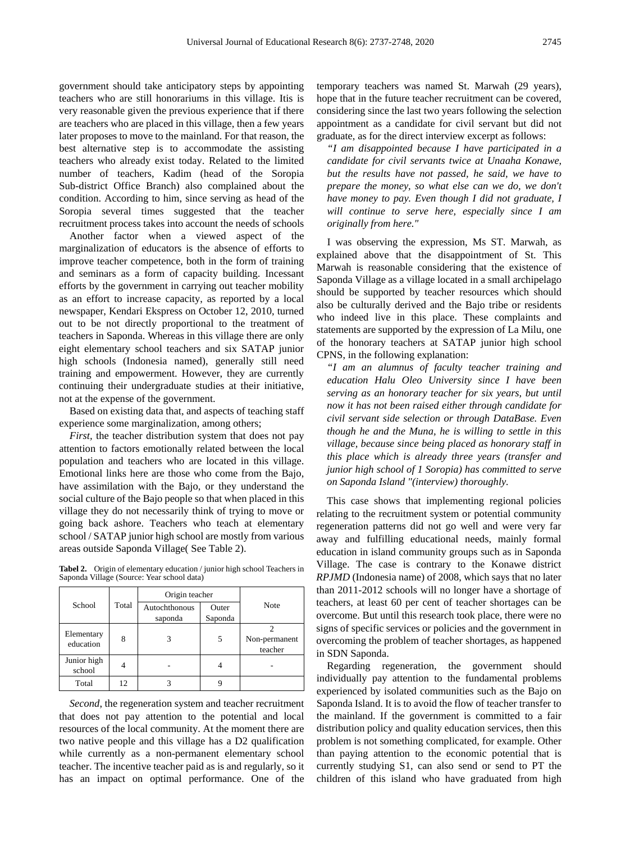government should take anticipatory steps by appointing teachers who are still honorariums in this village. Itis is very reasonable given the previous experience that if there are teachers who are placed in this village, then a few years later proposes to move to the mainland. For that reason, the best alternative step is to accommodate the assisting teachers who already exist today. Related to the limited number of teachers, Kadim (head of the Soropia Sub-district Office Branch) also complained about the condition. According to him, since serving as head of the Soropia several times suggested that the teacher recruitment process takes into account the needs of schools

Another factor when a viewed aspect of the marginalization of educators is the absence of efforts to improve teacher competence, both in the form of training and seminars as a form of capacity building. Incessant efforts by the government in carrying out teacher mobility as an effort to increase capacity, as reported by a local newspaper, Kendari Ekspress on October 12, 2010, turned out to be not directly proportional to the treatment of teachers in Saponda. Whereas in this village there are only eight elementary school teachers and six SATAP junior high schools (Indonesia named), generally still need training and empowerment. However, they are currently continuing their undergraduate studies at their initiative, not at the expense of the government.

Based on existing data that, and aspects of teaching staff experience some marginalization, among others;

*First,* the teacher distribution system that does not pay attention to factors emotionally related between the local population and teachers who are located in this village. Emotional links here are those who come from the Bajo, have assimilation with the Bajo, or they understand the social culture of the Bajo people so that when placed in this village they do not necessarily think of trying to move or going back ashore. Teachers who teach at elementary school / SATAP junior high school are mostly from various areas outside Saponda Village( See Table 2).

**Tabel 2.** Origin of elementary education / junior high school Teachers in Saponda Village (Source: Year school data)

| School                  | Total | Origin teacher           |                  |                          |
|-------------------------|-------|--------------------------|------------------|--------------------------|
|                         |       | Autochthonous<br>saponda | Outer<br>Saponda | Note                     |
| Elementary<br>education | 8     | 3                        | 5                | Non-permanent<br>teacher |
| Junior high<br>school   |       |                          |                  |                          |
| Total                   | 12    |                          |                  |                          |

*Second*, the regeneration system and teacher recruitment that does not pay attention to the potential and local resources of the local community. At the moment there are two native people and this village has a D2 qualification while currently as a non-permanent elementary school teacher. The incentive teacher paid as is and regularly, so it has an impact on optimal performance. One of the

temporary teachers was named St. Marwah (29 years), hope that in the future teacher recruitment can be covered, considering since the last two years following the selection appointment as a candidate for civil servant but did not graduate, as for the direct interview excerpt as follows:

*"I am disappointed because I have participated in a candidate for civil servants twice at Unaaha Konawe, but the results have not passed, he said, we have to prepare the money, so what else can we do, we don't have money to pay. Even though I did not graduate, I will continue to serve here, especially since I am originally from here."* 

I was observing the expression, Ms ST. Marwah, as explained above that the disappointment of St. This Marwah is reasonable considering that the existence of Saponda Village as a village located in a small archipelago should be supported by teacher resources which should also be culturally derived and the Bajo tribe or residents who indeed live in this place. These complaints and statements are supported by the expression of La Milu, one of the honorary teachers at SATAP junior high school CPNS, in the following explanation:

*"I am an alumnus of faculty teacher training and education Halu Oleo University since I have been serving as an honorary teacher for six years, but until now it has not been raised either through candidate for civil servant side selection or through DataBase. Even though he and the Muna, he is willing to settle in this village, because since being placed as honorary staff in this place which is already three years (transfer and junior high school of 1 Soropia) has committed to serve on Saponda Island "(interview) thoroughly.*

This case shows that implementing regional policies relating to the recruitment system or potential community regeneration patterns did not go well and were very far away and fulfilling educational needs, mainly formal education in island community groups such as in Saponda Village. The case is contrary to the Konawe district *RPJMD* (Indonesia name) of 2008, which says that no later than 2011-2012 schools will no longer have a shortage of teachers, at least 60 per cent of teacher shortages can be overcome. But until this research took place, there were no signs of specific services or policies and the government in overcoming the problem of teacher shortages, as happened in SDN Saponda.

Regarding regeneration, the government should individually pay attention to the fundamental problems experienced by isolated communities such as the Bajo on Saponda Island. It is to avoid the flow of teacher transfer to the mainland. If the government is committed to a fair distribution policy and quality education services, then this problem is not something complicated, for example. Other than paying attention to the economic potential that is currently studying S1, can also send or send to PT the children of this island who have graduated from high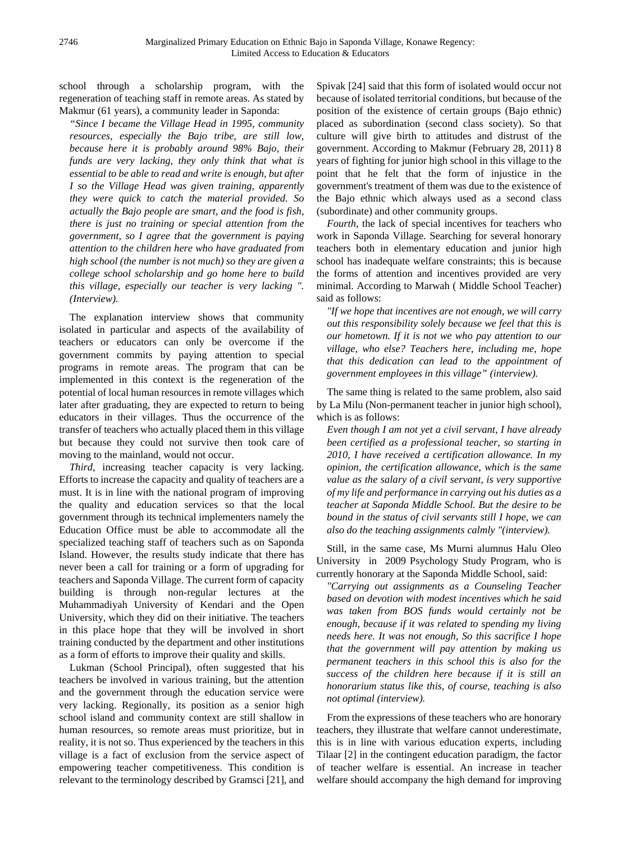school through a scholarship program, with the regeneration of teaching staff in remote areas. As stated by Makmur (61 years), a community leader in Saponda:

*"Since I became the Village Head in 1995, community resources, especially the Bajo tribe, are still low, because here it is probably around 98% Bajo, their funds are very lacking, they only think that what is essential to be able to read and write is enough, but after I so the Village Head was given training, apparently they were quick to catch the material provided. So actually the Bajo people are smart, and the food is fish, there is just no training or special attention from the government, so I agree that the government is paying attention to the children here who have graduated from high school (the number is not much) so they are given a college school scholarship and go home here to build this village, especially our teacher is very lacking ". (Interview).*

The explanation interview shows that community isolated in particular and aspects of the availability of teachers or educators can only be overcome if the government commits by paying attention to special programs in remote areas. The program that can be implemented in this context is the regeneration of the potential of local human resources in remote villages which later after graduating, they are expected to return to being educators in their villages. Thus the occurrence of the transfer of teachers who actually placed them in this village but because they could not survive then took care of moving to the mainland, would not occur.

*Third*, increasing teacher capacity is very lacking. Efforts to increase the capacity and quality of teachers are a must. It is in line with the national program of improving the quality and education services so that the local government through its technical implementers namely the Education Office must be able to accommodate all the specialized teaching staff of teachers such as on Saponda Island. However, the results study indicate that there has never been a call for training or a form of upgrading for teachers and Saponda Village. The current form of capacity building is through non-regular lectures at the Muhammadiyah University of Kendari and the Open University, which they did on their initiative. The teachers in this place hope that they will be involved in short training conducted by the department and other institutions as a form of efforts to improve their quality and skills.

Lukman (School Principal), often suggested that his teachers be involved in various training, but the attention and the government through the education service were very lacking. Regionally, its position as a senior high school island and community context are still shallow in human resources, so remote areas must prioritize, but in reality, it is not so. Thus experienced by the teachers in this village is a fact of exclusion from the service aspect of empowering teacher competitiveness. This condition is relevant to the terminology described by Gramsci [21], and

Spivak [24] said that this form of isolated would occur not because of isolated territorial conditions, but because of the position of the existence of certain groups (Bajo ethnic) placed as subordination (second class society). So that culture will give birth to attitudes and distrust of the government. According to Makmur (February 28, 2011) 8 years of fighting for junior high school in this village to the point that he felt that the form of injustice in the government's treatment of them was due to the existence of the Bajo ethnic which always used as a second class (subordinate) and other community groups.

*Fourth*, the lack of special incentives for teachers who work in Saponda Village. Searching for several honorary teachers both in elementary education and junior high school has inadequate welfare constraints; this is because the forms of attention and incentives provided are very minimal. According to Marwah ( Middle School Teacher) said as follows:

*"If we hope that incentives are not enough, we will carry out this responsibility solely because we feel that this is our hometown. If it is not we who pay attention to our village, who else? Teachers here, including me, hope that this dedication can lead to the appointment of government employees in this village" (interview).*

The same thing is related to the same problem, also said by La Milu (Non-permanent teacher in junior high school), which is as follows:

*Even though I am not yet a civil servant, I have already been certified as a professional teacher, so starting in 2010, I have received a certification allowance. In my opinion, the certification allowance, which is the same value as the salary of a civil servant, is very supportive of my life and performance in carrying out his duties as a teacher at Saponda Middle School. But the desire to be bound in the status of civil servants still I hope, we can also do the teaching assignments calmly "(interview).* 

Still, in the same case, Ms Murni alumnus Halu Oleo University in 2009 Psychology Study Program, who is currently honorary at the Saponda Middle School, said:

*"Carrying out assignments as a Counseling Teacher based on devotion with modest incentives which he said was taken from BOS funds would certainly not be enough, because if it was related to spending my living needs here. It was not enough, So this sacrifice I hope that the government will pay attention by making us permanent teachers in this school this is also for the success of the children here because if it is still an honorarium status like this, of course, teaching is also not optimal (interview).*

From the expressions of these teachers who are honorary teachers, they illustrate that welfare cannot underestimate, this is in line with various education experts, including Tilaar [2] in the contingent education paradigm, the factor of teacher welfare is essential. An increase in teacher welfare should accompany the high demand for improving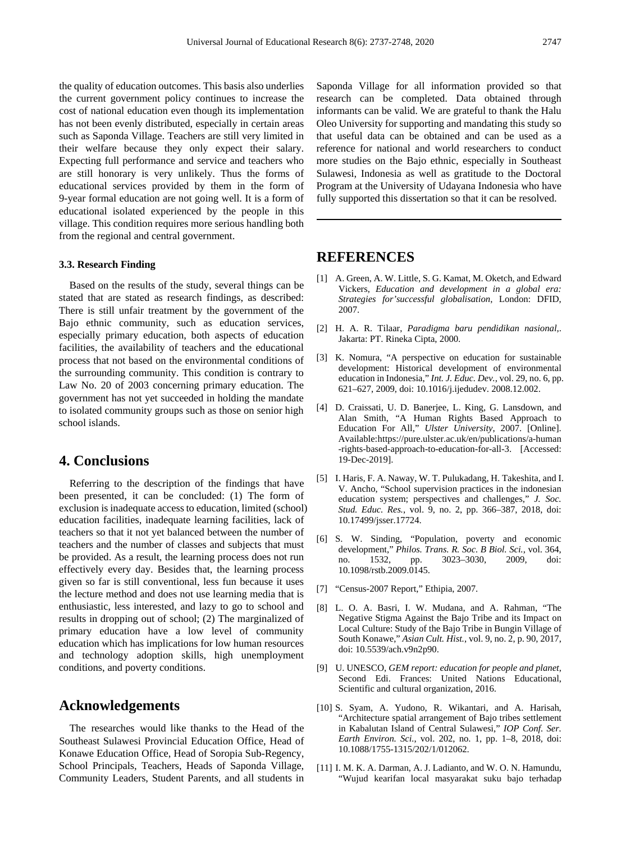the quality of education outcomes. This basis also underlies the current government policy continues to increase the cost of national education even though its implementation has not been evenly distributed, especially in certain areas such as Saponda Village. Teachers are still very limited in their welfare because they only expect their salary. Expecting full performance and service and teachers who are still honorary is very unlikely. Thus the forms of educational services provided by them in the form of 9-year formal education are not going well. It is a form of educational isolated experienced by the people in this village. This condition requires more serious handling both from the regional and central government.

#### **3.3. Research Finding**

Based on the results of the study, several things can be stated that are stated as research findings, as described: There is still unfair treatment by the government of the Bajo ethnic community, such as education services, especially primary education, both aspects of education facilities, the availability of teachers and the educational process that not based on the environmental conditions of the surrounding community. This condition is contrary to Law No. 20 of 2003 concerning primary education. The government has not yet succeeded in holding the mandate to isolated community groups such as those on senior high school islands.

## **4. Conclusions**

Referring to the description of the findings that have been presented, it can be concluded: (1) The form of exclusion is inadequate access to education, limited (school) education facilities, inadequate learning facilities, lack of teachers so that it not yet balanced between the number of teachers and the number of classes and subjects that must be provided. As a result, the learning process does not run effectively every day. Besides that, the learning process given so far is still conventional, less fun because it uses the lecture method and does not use learning media that is enthusiastic, less interested, and lazy to go to school and results in dropping out of school; (2) The marginalized of primary education have a low level of community education which has implications for low human resources and technology adoption skills, high unemployment conditions, and poverty conditions.

# **Acknowledgements**

The researches would like thanks to the Head of the Southeast Sulawesi Provincial Education Office, Head of Konawe Education Office, Head of Soropia Sub-Regency, School Principals, Teachers, Heads of Saponda Village, Community Leaders, Student Parents, and all students in

Saponda Village for all information provided so that research can be completed. Data obtained through informants can be valid. We are grateful to thank the Halu Oleo University for supporting and mandating this study so that useful data can be obtained and can be used as a reference for national and world researchers to conduct more studies on the Bajo ethnic, especially in Southeast Sulawesi, Indonesia as well as gratitude to the Doctoral Program at the University of Udayana Indonesia who have fully supported this dissertation so that it can be resolved.

## **REFERENCES**

- [1] A. Green, A. W. Little, S. G. Kamat, M. Oketch, and Edward Vickers, *Education and development in a global era: Strategies for'successful globalisation*, London: DFID, 2007.
- [2] H. A. R. Tilaar, *Paradigma baru pendidikan nasional*,. Jakarta: PT. Rineka Cipta, 2000.
- [3] K. Nomura, "A perspective on education for sustainable development: Historical development of environmental education in Indonesia," *Int. J. Educ. Dev.*, vol. 29, no. 6, pp. 621–627, 2009, doi: 10.1016/j.ijedudev. 2008.12.002.
- [4] D. Craissati, U. D. Banerjee, L. King, G. Lansdown, and Alan Smith, "A Human Rights Based Approach to Education For All," *Ulster University*, 2007. [Online]. Available:https://pure.ulster.ac.uk/en/publications/a-human -rights-based-approach-to-education-for-all-3. [Accessed: 19-Dec-2019].
- [5] I. Haris, F. A. Naway, W. T. Pulukadang, H. Takeshita, and I. V. Ancho, "School supervision practices in the indonesian education system; perspectives and challenges," *J. Soc. Stud. Educ. Res.*, vol. 9, no. 2, pp. 366–387, 2018, doi: 10.17499/jsser.17724.
- [6] S. W. Sinding, "Population, poverty and economic development," *Philos. Trans. R. Soc. B Biol. Sci.*, vol. 364, no. 1532, pp. 3023–3030, 2009, doi: 10.1098/rstb.2009.0145.
- [7] "Census-2007 Report," Ethipia, 2007.
- [8] L. O. A. Basri, I. W. Mudana, and A. Rahman, "The Negative Stigma Against the Bajo Tribe and its Impact on Local Culture: Study of the Bajo Tribe in Bungin Village of South Konawe," *Asian Cult. Hist.*, vol. 9, no. 2, p. 90, 2017, doi: 10.5539/ach.v9n2p90.
- [9] U. UNESCO, *GEM report: education for people and planet*, Second Edi. Frances: United Nations Educational, Scientific and cultural organization, 2016.
- [10] S. Syam, A. Yudono, R. Wikantari, and A. Harisah, "Architecture spatial arrangement of Bajo tribes settlement in Kabalutan Island of Central Sulawesi," *IOP Conf. Ser. Earth Environ. Sci.*, vol. 202, no. 1, pp. 1–8, 2018, doi: 10.1088/1755-1315/202/1/012062.
- [11] I. M. K. A. Darman, A. J. Ladianto, and W. O. N. Hamundu, "Wujud kearifan local masyarakat suku bajo terhadap